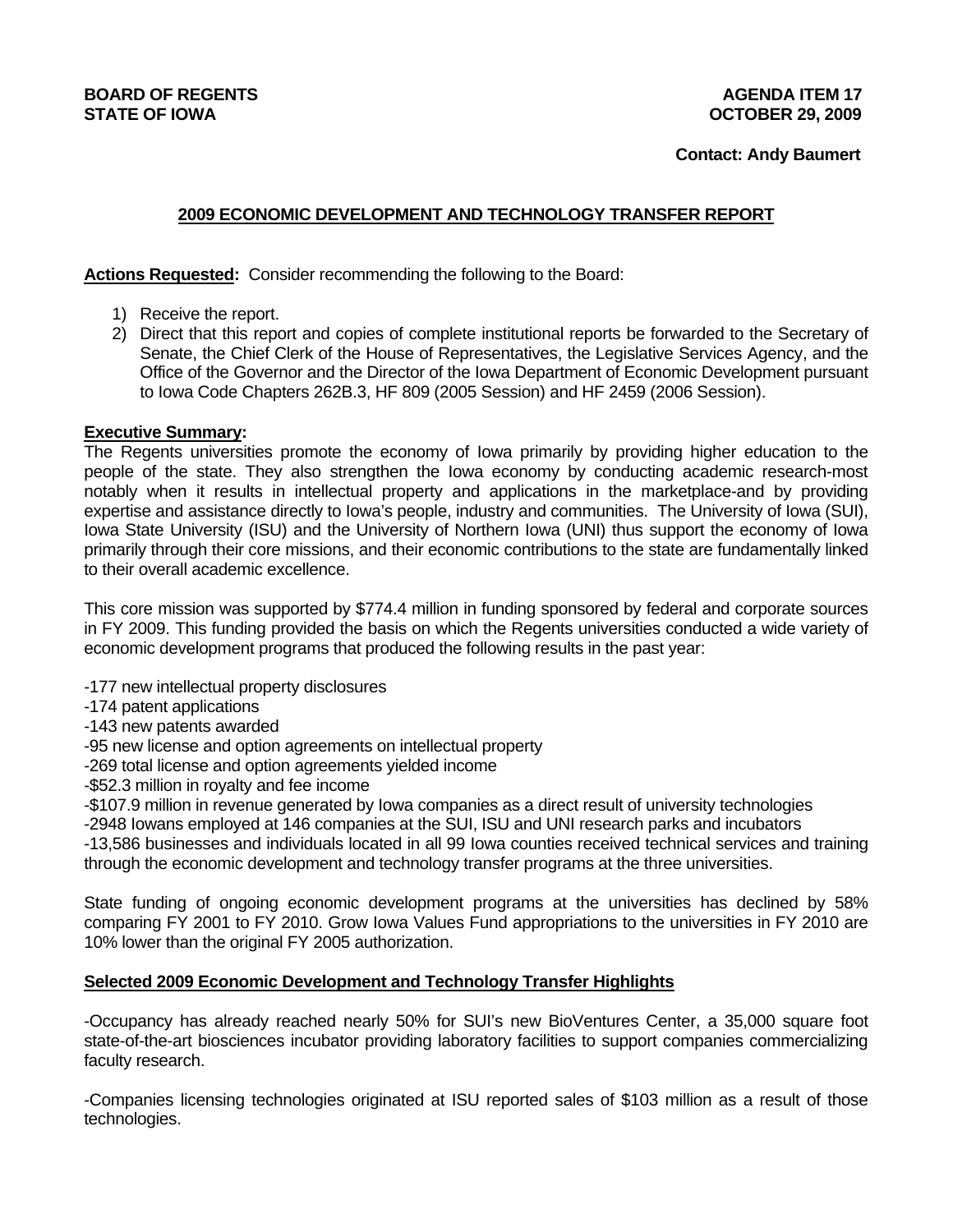## **BOARD OF REGENTS AGENUS AGENERATION CONSUMING A LIGHT AGENERATION AGENERATION AGENERATION STATE OF IOWA OCTOBER 29, 2009**

# **2009 ECONOMIC DEVELOPMENT AND TECHNOLOGY TRANSFER REPORT**

**Actions Requested:** Consider recommending the following to the Board:

- 1) Receive the report.
- 2) Direct that this report and copies of complete institutional reports be forwarded to the Secretary of Senate, the Chief Clerk of the House of Representatives, the Legislative Services Agency, and the Office of the Governor and the Director of the Iowa Department of Economic Development pursuant to Iowa Code Chapters 262B.3, HF 809 (2005 Session) and HF 2459 (2006 Session).

### **Executive Summary:**

The Regents universities promote the economy of Iowa primarily by providing higher education to the people of the state. They also strengthen the Iowa economy by conducting academic research-most notably when it results in intellectual property and applications in the marketplace-and by providing expertise and assistance directly to Iowa's people, industry and communities. The University of Iowa (SUI), Iowa State University (ISU) and the University of Northern Iowa (UNI) thus support the economy of Iowa primarily through their core missions, and their economic contributions to the state are fundamentally linked to their overall academic excellence.

This core mission was supported by \$774.4 million in funding sponsored by federal and corporate sources in FY 2009. This funding provided the basis on which the Regents universities conducted a wide variety of economic development programs that produced the following results in the past year:

- -177 new intellectual property disclosures
- -174 patent applications
- -143 new patents awarded
- -95 new license and option agreements on intellectual property
- -269 total license and option agreements yielded income
- -\$52.3 million in royalty and fee income
- -\$107.9 million in revenue generated by Iowa companies as a direct result of university technologies
- -2948 Iowans employed at 146 companies at the SUI, ISU and UNI research parks and incubators

-13,586 businesses and individuals located in all 99 Iowa counties received technical services and training through the economic development and technology transfer programs at the three universities.

State funding of ongoing economic development programs at the universities has declined by 58% comparing FY 2001 to FY 2010. Grow Iowa Values Fund appropriations to the universities in FY 2010 are 10% lower than the original FY 2005 authorization.

### **Selected 2009 Economic Development and Technology Transfer Highlights**

-Occupancy has already reached nearly 50% for SUI's new BioVentures Center, a 35,000 square foot state-of-the-art biosciences incubator providing laboratory facilities to support companies commercializing faculty research.

-Companies licensing technologies originated at ISU reported sales of \$103 million as a result of those technologies.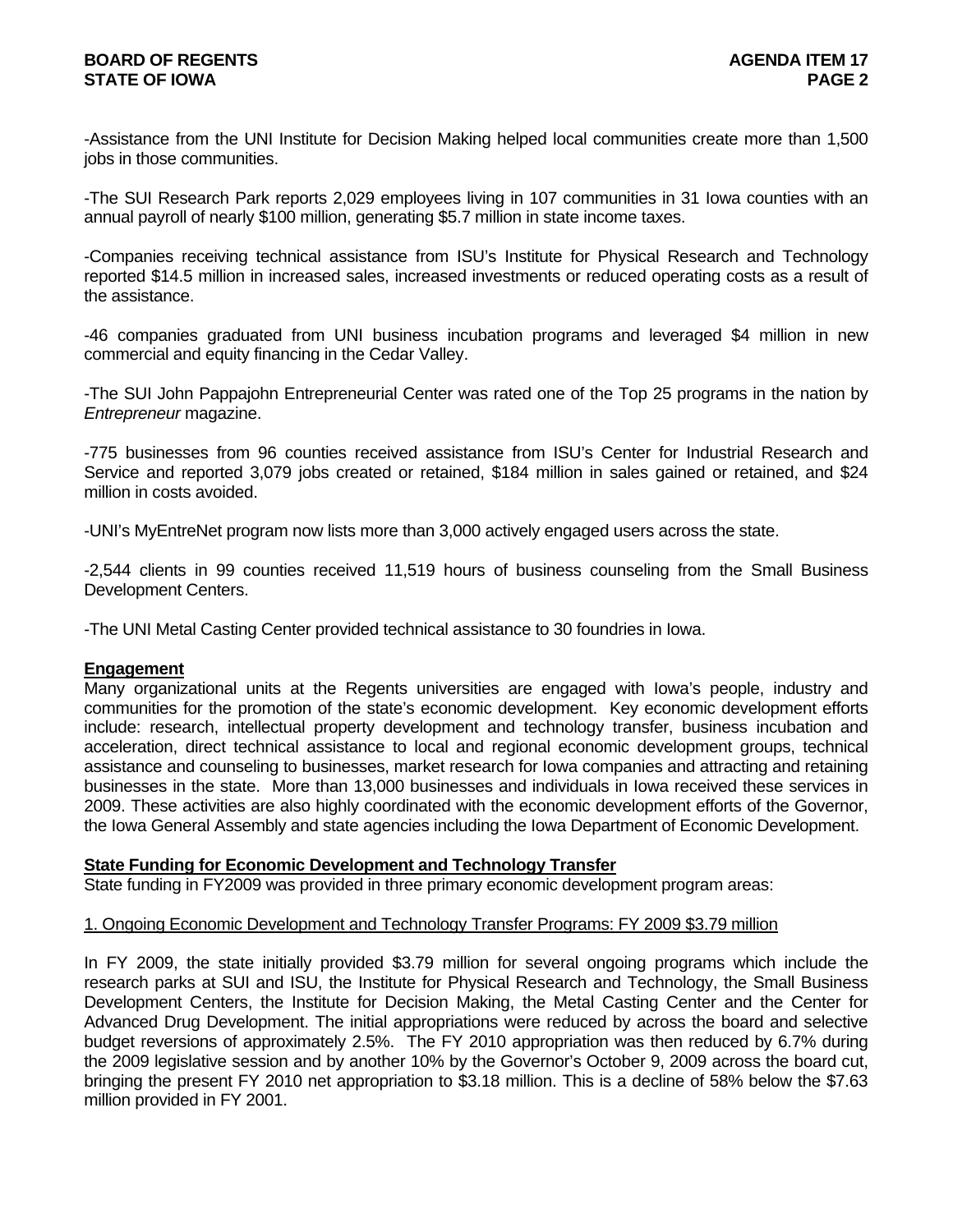-Assistance from the UNI Institute for Decision Making helped local communities create more than 1,500 jobs in those communities.

-The SUI Research Park reports 2,029 employees living in 107 communities in 31 Iowa counties with an annual payroll of nearly \$100 million, generating \$5.7 million in state income taxes.

-Companies receiving technical assistance from ISU's Institute for Physical Research and Technology reported \$14.5 million in increased sales, increased investments or reduced operating costs as a result of the assistance.

-46 companies graduated from UNI business incubation programs and leveraged \$4 million in new commercial and equity financing in the Cedar Valley.

-The SUI John Pappajohn Entrepreneurial Center was rated one of the Top 25 programs in the nation by *Entrepreneur* magazine.

-775 businesses from 96 counties received assistance from ISU's Center for Industrial Research and Service and reported 3,079 jobs created or retained, \$184 million in sales gained or retained, and \$24 million in costs avoided.

-UNI's MyEntreNet program now lists more than 3,000 actively engaged users across the state.

-2,544 clients in 99 counties received 11,519 hours of business counseling from the Small Business Development Centers.

-The UNI Metal Casting Center provided technical assistance to 30 foundries in Iowa.

#### **Engagement**

Many organizational units at the Regents universities are engaged with Iowa's people, industry and communities for the promotion of the state's economic development. Key economic development efforts include: research, intellectual property development and technology transfer, business incubation and acceleration, direct technical assistance to local and regional economic development groups, technical assistance and counseling to businesses, market research for Iowa companies and attracting and retaining businesses in the state. More than 13,000 businesses and individuals in Iowa received these services in 2009. These activities are also highly coordinated with the economic development efforts of the Governor, the Iowa General Assembly and state agencies including the Iowa Department of Economic Development.

#### **State Funding for Economic Development and Technology Transfer**

State funding in FY2009 was provided in three primary economic development program areas:

#### 1. Ongoing Economic Development and Technology Transfer Programs: FY 2009 \$3.79 million

In FY 2009, the state initially provided \$3.79 million for several ongoing programs which include the research parks at SUI and ISU, the Institute for Physical Research and Technology, the Small Business Development Centers, the Institute for Decision Making, the Metal Casting Center and the Center for Advanced Drug Development. The initial appropriations were reduced by across the board and selective budget reversions of approximately 2.5%. The FY 2010 appropriation was then reduced by 6.7% during the 2009 legislative session and by another 10% by the Governor's October 9, 2009 across the board cut, bringing the present FY 2010 net appropriation to \$3.18 million. This is a decline of 58% below the \$7.63 million provided in FY 2001.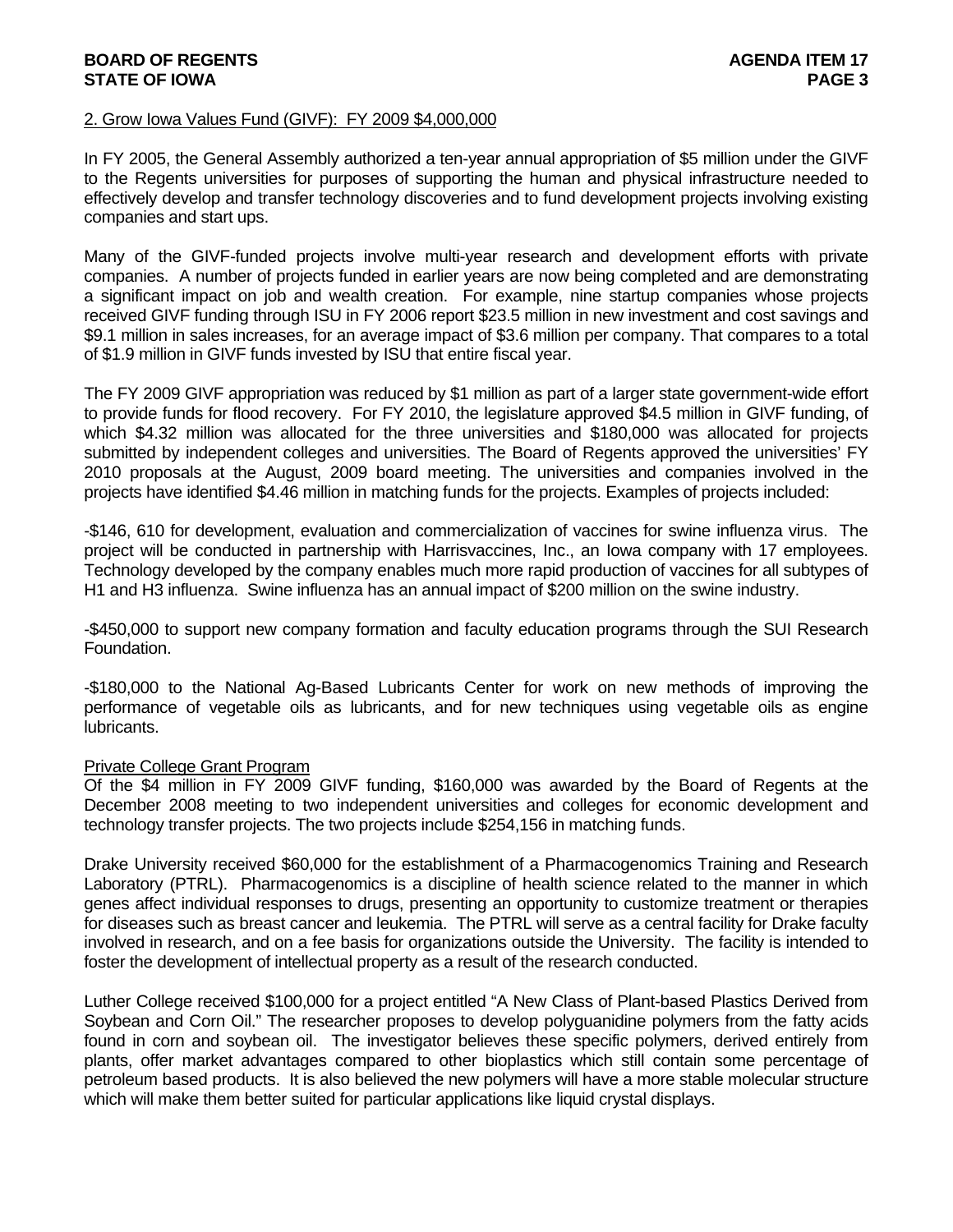### **BOARD OF REGENTS AGENTS** AGENERATION OF REGENERAL AGENERATION OF A SALE AGENERATION OF REGENERAL AGENERATION OF  $\sim$ **STATE OF IOWA** PAGE 3

### 2. Grow Iowa Values Fund (GIVF): FY 2009 \$4,000,000

In FY 2005, the General Assembly authorized a ten-year annual appropriation of \$5 million under the GIVF to the Regents universities for purposes of supporting the human and physical infrastructure needed to effectively develop and transfer technology discoveries and to fund development projects involving existing companies and start ups.

Many of the GIVF-funded projects involve multi-year research and development efforts with private companies. A number of projects funded in earlier years are now being completed and are demonstrating a significant impact on job and wealth creation. For example, nine startup companies whose projects received GIVF funding through ISU in FY 2006 report \$23.5 million in new investment and cost savings and \$9.1 million in sales increases, for an average impact of \$3.6 million per company. That compares to a total of \$1.9 million in GIVF funds invested by ISU that entire fiscal year.

The FY 2009 GIVF appropriation was reduced by \$1 million as part of a larger state government-wide effort to provide funds for flood recovery. For FY 2010, the legislature approved \$4.5 million in GIVF funding, of which \$4.32 million was allocated for the three universities and \$180,000 was allocated for projects submitted by independent colleges and universities. The Board of Regents approved the universities' FY 2010 proposals at the August, 2009 board meeting. The universities and companies involved in the projects have identified \$4.46 million in matching funds for the projects. Examples of projects included:

-\$146, 610 for development, evaluation and commercialization of vaccines for swine influenza virus. The project will be conducted in partnership with Harrisvaccines, Inc., an Iowa company with 17 employees. Technology developed by the company enables much more rapid production of vaccines for all subtypes of H1 and H3 influenza. Swine influenza has an annual impact of \$200 million on the swine industry.

-\$450,000 to support new company formation and faculty education programs through the SUI Research Foundation.

-\$180,000 to the National Ag-Based Lubricants Center for work on new methods of improving the performance of vegetable oils as lubricants, and for new techniques using vegetable oils as engine lubricants.

#### Private College Grant Program

Of the \$4 million in FY 2009 GIVF funding, \$160,000 was awarded by the Board of Regents at the December 2008 meeting to two independent universities and colleges for economic development and technology transfer projects. The two projects include \$254,156 in matching funds.

Drake University received \$60,000 for the establishment of a Pharmacogenomics Training and Research Laboratory (PTRL). Pharmacogenomics is a discipline of health science related to the manner in which genes affect individual responses to drugs, presenting an opportunity to customize treatment or therapies for diseases such as breast cancer and leukemia. The PTRL will serve as a central facility for Drake faculty involved in research, and on a fee basis for organizations outside the University. The facility is intended to foster the development of intellectual property as a result of the research conducted.

Luther College received \$100,000 for a project entitled "A New Class of Plant-based Plastics Derived from Soybean and Corn Oil." The researcher proposes to develop polyguanidine polymers from the fatty acids found in corn and soybean oil. The investigator believes these specific polymers, derived entirely from plants, offer market advantages compared to other bioplastics which still contain some percentage of petroleum based products. It is also believed the new polymers will have a more stable molecular structure which will make them better suited for particular applications like liquid crystal displays.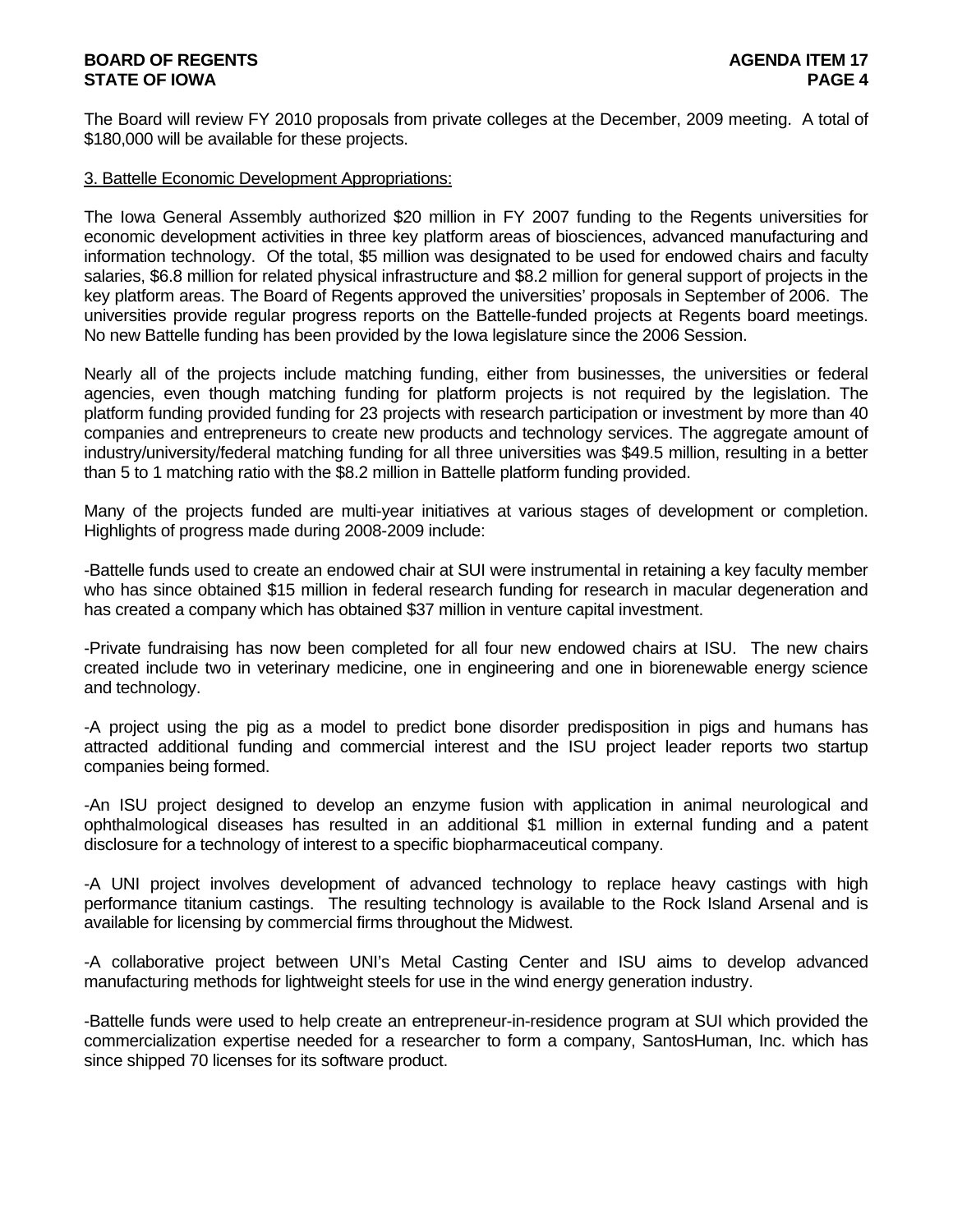## **BOARD OF REGENTS AGENUS AGENERATION CONTROL STATE OF IOWA** PAGE 4

The Board will review FY 2010 proposals from private colleges at the December, 2009 meeting. A total of \$180,000 will be available for these projects.

### 3. Battelle Economic Development Appropriations:

The Iowa General Assembly authorized \$20 million in FY 2007 funding to the Regents universities for economic development activities in three key platform areas of biosciences, advanced manufacturing and information technology. Of the total, \$5 million was designated to be used for endowed chairs and faculty salaries, \$6.8 million for related physical infrastructure and \$8.2 million for general support of projects in the key platform areas. The Board of Regents approved the universities' proposals in September of 2006. The universities provide regular progress reports on the Battelle-funded projects at Regents board meetings. No new Battelle funding has been provided by the Iowa legislature since the 2006 Session.

Nearly all of the projects include matching funding, either from businesses, the universities or federal agencies, even though matching funding for platform projects is not required by the legislation. The platform funding provided funding for 23 projects with research participation or investment by more than 40 companies and entrepreneurs to create new products and technology services. The aggregate amount of industry/university/federal matching funding for all three universities was \$49.5 million, resulting in a better than 5 to 1 matching ratio with the \$8.2 million in Battelle platform funding provided.

Many of the projects funded are multi-year initiatives at various stages of development or completion. Highlights of progress made during 2008-2009 include:

-Battelle funds used to create an endowed chair at SUI were instrumental in retaining a key faculty member who has since obtained \$15 million in federal research funding for research in macular degeneration and has created a company which has obtained \$37 million in venture capital investment.

-Private fundraising has now been completed for all four new endowed chairs at ISU. The new chairs created include two in veterinary medicine, one in engineering and one in biorenewable energy science and technology.

-A project using the pig as a model to predict bone disorder predisposition in pigs and humans has attracted additional funding and commercial interest and the ISU project leader reports two startup companies being formed.

-An ISU project designed to develop an enzyme fusion with application in animal neurological and ophthalmological diseases has resulted in an additional \$1 million in external funding and a patent disclosure for a technology of interest to a specific biopharmaceutical company.

-A UNI project involves development of advanced technology to replace heavy castings with high performance titanium castings. The resulting technology is available to the Rock Island Arsenal and is available for licensing by commercial firms throughout the Midwest.

-A collaborative project between UNI's Metal Casting Center and ISU aims to develop advanced manufacturing methods for lightweight steels for use in the wind energy generation industry.

-Battelle funds were used to help create an entrepreneur-in-residence program at SUI which provided the commercialization expertise needed for a researcher to form a company, SantosHuman, Inc. which has since shipped 70 licenses for its software product.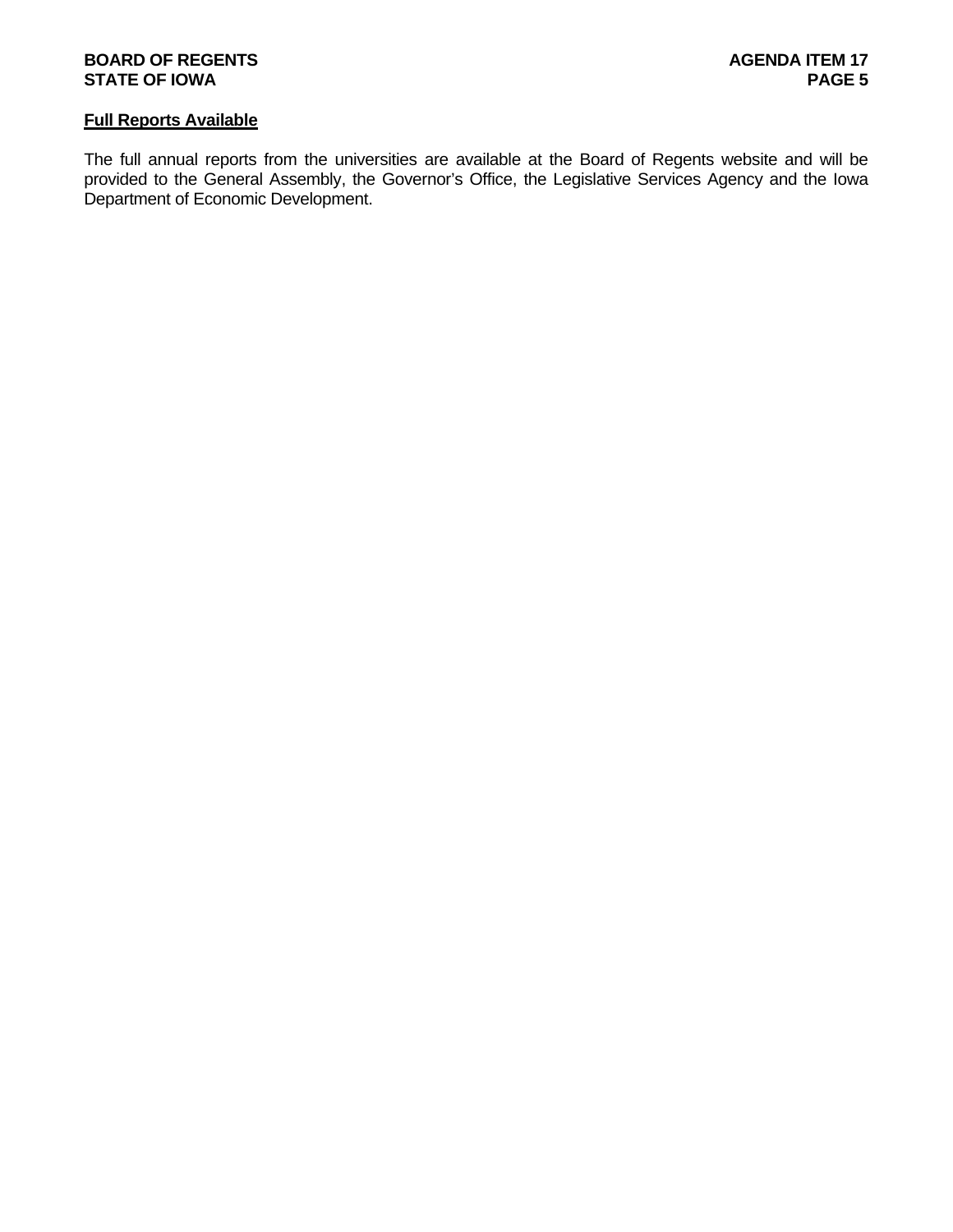## **BOARD OF REGENTS AGENERY AGENERY AGENERY AGENERY AGENERY AGENERY 17 STATE OF IOWA** PAGE 5

### **Full Reports Available**

The full annual reports from the universities are available at the Board of Regents website and will be provided to the General Assembly, the Governor's Office, the Legislative Services Agency and the Iowa Department of Economic Development.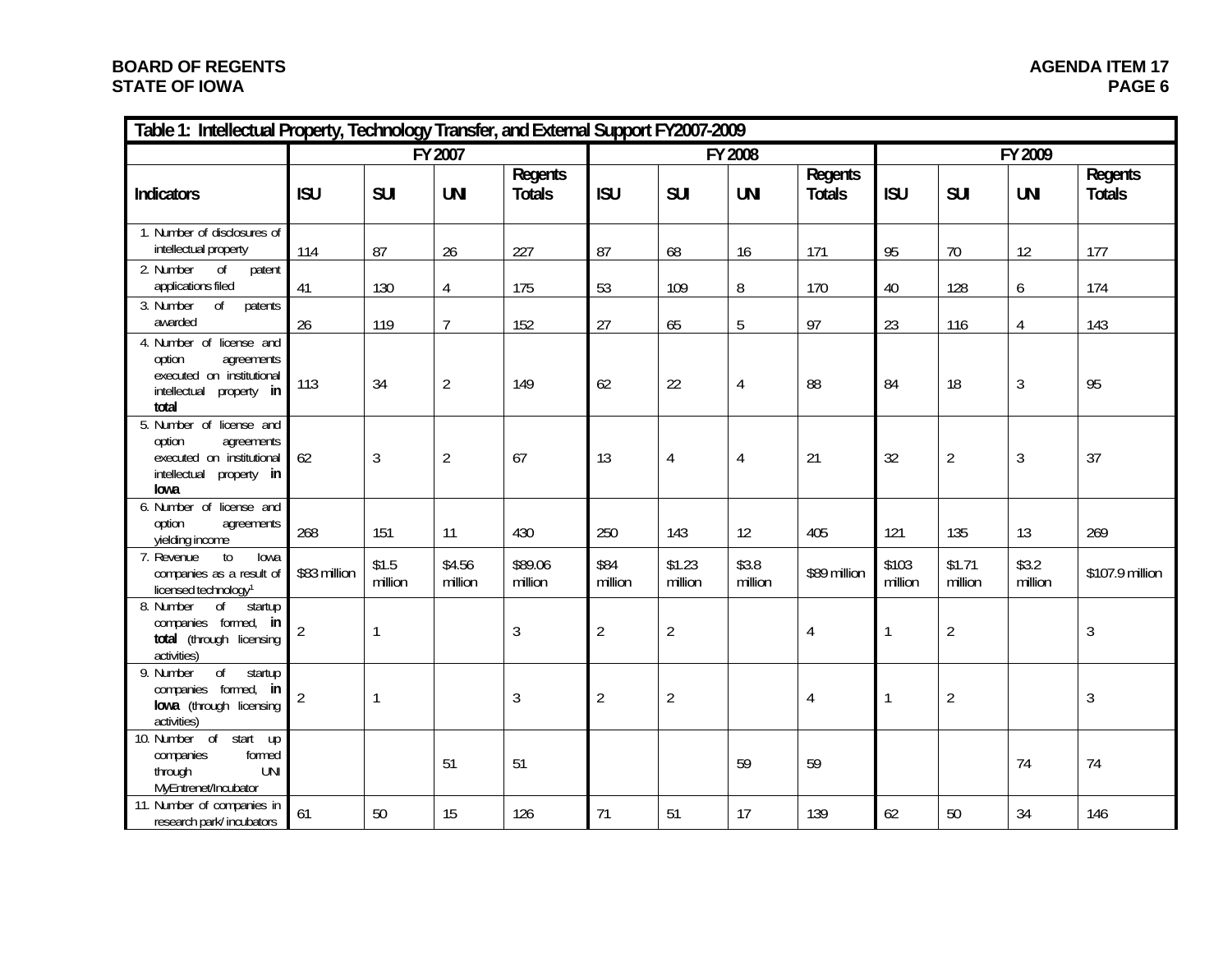## **BOARD OF REGENTS STATE OF IOWA**

| Table 1: Intellectual Property, Technology Transfer, and External Support FY2007-2009                                 |                |                  |                   |                          |                 |                   |                  |                          |                  |                   |                  |                          |
|-----------------------------------------------------------------------------------------------------------------------|----------------|------------------|-------------------|--------------------------|-----------------|-------------------|------------------|--------------------------|------------------|-------------------|------------------|--------------------------|
|                                                                                                                       | FY 2007        |                  |                   |                          |                 |                   | FY 2008          |                          | FY 2009          |                   |                  |                          |
| <b>Indicators</b>                                                                                                     | <b>ISU</b>     | <b>SUI</b>       | <b>UNI</b>        | Regents<br><b>Totals</b> | <b>ISU</b>      | <b>SUI</b>        | <b>UNI</b>       | Regents<br><b>Totals</b> | <b>ISU</b>       | <b>SUI</b>        | <b>UNI</b>       | Regents<br><b>Totals</b> |
| 1. Number of disclosures of<br>intellectual property                                                                  | 114            | 87               | 26                | 227                      | 87              | 68                | 16               | 171                      | 95               | 70                | 12               | 177                      |
| 2. Number<br>0f<br>patent<br>applications filed                                                                       | 41             | 130              | 4                 | 175                      | 53              | 109               | 8                | 170                      | 40               | 128               | 6                | 174                      |
| 3. Number<br>$\overline{of}$<br>patents<br>awarded                                                                    | 26             | 119              | $\overline{7}$    | 152                      | 27              | 65                | 5                | 97                       | 23               | 116               | $\overline{4}$   | 143                      |
| 4. Number of license and<br>option<br>agreements<br>executed on institutional<br>intellectual<br>property in<br>total | 113            | 34               | $\overline{2}$    | 149                      | 62              | 22                | 4                | 88                       | 84               | 18                | $\mathfrak{Z}$   | 95                       |
| 5. Number of license and<br>option<br>agreements<br>executed on institutional<br>intellectual<br>property in<br>lowa  | 62             | $\sqrt{3}$       | $\overline{2}$    | 67                       | 13              | $\overline{4}$    | 4                | 21                       | 32               | $\overline{2}$    | $\sqrt{3}$       | 37                       |
| 6. Number of license and<br>option<br>agreements<br>yielding income                                                   | 268            | 151              | 11                | 430                      | 250             | 143               | 12               | 405                      | 121              | 135               | 13               | 269                      |
| 7. Revenue<br>to<br>lowa<br>companies as a result of<br>licensed technology <sup>1</sup>                              | \$83 million   | \$1.5<br>million | \$4.56<br>million | \$89.06<br>million       | \$84<br>million | \$1.23<br>million | \$3.8<br>million | \$89 million             | \$103<br>million | \$1.71<br>million | \$3.2<br>million | \$107.9 million          |
| 8. Number<br>$\overline{of}$<br>startup<br>companies formed, in<br>total (through licensing<br>activities)            | $\overline{2}$ | 1                |                   | $\sqrt{3}$               | $\overline{2}$  | $\overline{2}$    |                  | $\overline{4}$           | $\mathbf{1}$     | $\overline{2}$    |                  | $\mathfrak{Z}$           |
| $\overline{of}$<br>9. Number<br>startup<br>companies formed, in<br>lowa (through licensing<br>activities)             | $\overline{2}$ | 1                |                   | $\mathfrak{Z}$           | $\overline{2}$  | $\overline{2}$    |                  | 4                        |                  | $\overline{2}$    |                  | $\mathfrak{Z}$           |
| 10. Number of start up<br>formed<br>companies<br><b>UNI</b><br>through<br>MyEntrenet/Incubator                        |                |                  | 51                | 51                       |                 |                   | 59               | 59                       |                  |                   | 74               | 74                       |
| 11. Number of companies in<br>research park/incubators                                                                | 61             | 50               | 15                | 126                      | 71              | 51                | 17               | 139                      | 62               | 50                | 34               | 146                      |